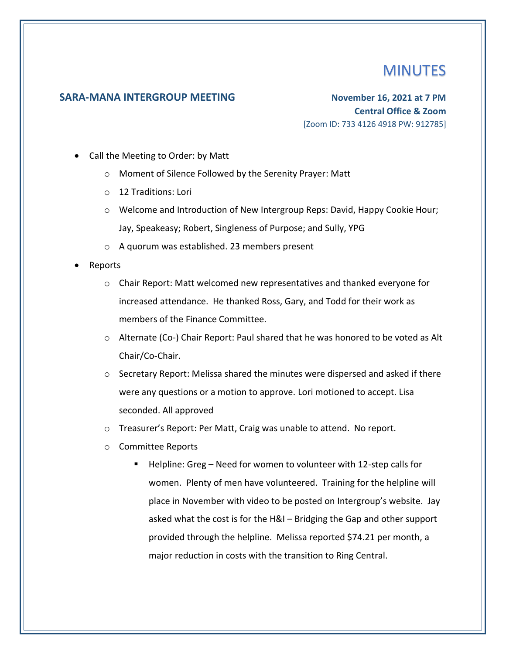## **MINUTES**

## **SARA-MANA INTERGROUP MEETING November 16, 2021 at 7 PM**

**Central Office & Zoom** [Zoom ID: 733 4126 4918 PW: 912785]

- Call the Meeting to Order: by Matt
	- o Moment of Silence Followed by the Serenity Prayer: Matt
	- o 12 Traditions: Lori
	- o Welcome and Introduction of New Intergroup Reps: David, Happy Cookie Hour; Jay, Speakeasy; Robert, Singleness of Purpose; and Sully, YPG
	- o A quorum was established. 23 members present
- Reports
	- $\circ$  Chair Report: Matt welcomed new representatives and thanked everyone for increased attendance. He thanked Ross, Gary, and Todd for their work as members of the Finance Committee.
	- $\circ$  Alternate (Co-) Chair Report: Paul shared that he was honored to be voted as Alt Chair/Co-Chair.
	- $\circ$  Secretary Report: Melissa shared the minutes were dispersed and asked if there were any questions or a motion to approve. Lori motioned to accept. Lisa seconded. All approved
	- o Treasurer's Report: Per Matt, Craig was unable to attend. No report.
	- o Committee Reports
		- Helpline: Greg Need for women to volunteer with 12-step calls for women. Plenty of men have volunteered. Training for the helpline will place in November with video to be posted on Intergroup's website. Jay asked what the cost is for the H&I – Bridging the Gap and other support provided through the helpline. Melissa reported \$74.21 per month, a major reduction in costs with the transition to Ring Central.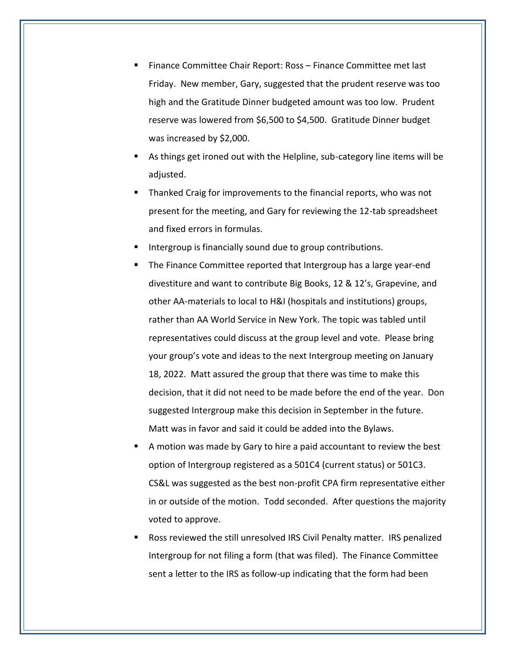- Finance Committee Chair Report: Ross Finance Committee met last Friday. New member, Gary, suggested that the prudent reserve was too high and the Gratitude Dinner budgeted amount was too low. Prudent reserve was lowered from \$6,500 to \$4,500. Gratitude Dinner budget was increased by \$2,000.
- As things get ironed out with the Helpline, sub-category line items will be adjusted.
- Thanked Craig for improvements to the financial reports, who was not present for the meeting, and Gary for reviewing the 12-tab spreadsheet and fixed errors in formulas.
- Intergroup is financially sound due to group contributions.
- The Finance Committee reported that Intergroup has a large year-end divestiture and want to contribute Big Books, 12 & 12's, Grapevine, and other AA-materials to local to H&I (hospitals and institutions) groups, rather than AA World Service in New York. The topic was tabled until representatives could discuss at the group level and vote. Please bring your group's vote and ideas to the next Intergroup meeting on January 18, 2022. Matt assured the group that there was time to make this decision, that it did not need to be made before the end of the year. Don suggested Intergroup make this decision in September in the future. Matt was in favor and said it could be added into the Bylaws.
- A motion was made by Gary to hire a paid accountant to review the best option of Intergroup registered as a 501C4 (current status) or 501C3. CS&L was suggested as the best non-profit CPA firm representative either in or outside of the motion. Todd seconded. After questions the majority voted to approve.
- Ross reviewed the still unresolved IRS Civil Penalty matter. IRS penalized Intergroup for not filing a form (that was filed). The Finance Committee sent a letter to the IRS as follow-up indicating that the form had been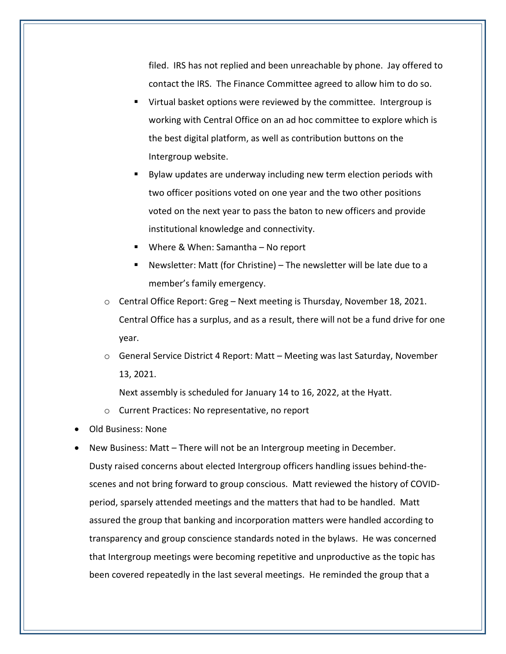filed. IRS has not replied and been unreachable by phone. Jay offered to contact the IRS. The Finance Committee agreed to allow him to do so.

- Virtual basket options were reviewed by the committee. Intergroup is working with Central Office on an ad hoc committee to explore which is the best digital platform, as well as contribution buttons on the Intergroup website.
- Bylaw updates are underway including new term election periods with two officer positions voted on one year and the two other positions voted on the next year to pass the baton to new officers and provide institutional knowledge and connectivity.
- Where & When: Samantha  $-$  No report
- Newsletter: Matt (for Christine) The newsletter will be late due to a member's family emergency.
- o Central Office Report: Greg Next meeting is Thursday, November 18, 2021. Central Office has a surplus, and as a result, there will not be a fund drive for one year.
- $\circ$  General Service District 4 Report: Matt Meeting was last Saturday, November 13, 2021.

Next assembly is scheduled for January 14 to 16, 2022, at the Hyatt.

- o Current Practices: No representative, no report
- Old Business: None
- New Business: Matt There will not be an Intergroup meeting in December. Dusty raised concerns about elected Intergroup officers handling issues behind-thescenes and not bring forward to group conscious. Matt reviewed the history of COVIDperiod, sparsely attended meetings and the matters that had to be handled. Matt assured the group that banking and incorporation matters were handled according to transparency and group conscience standards noted in the bylaws. He was concerned that Intergroup meetings were becoming repetitive and unproductive as the topic has been covered repeatedly in the last several meetings. He reminded the group that a